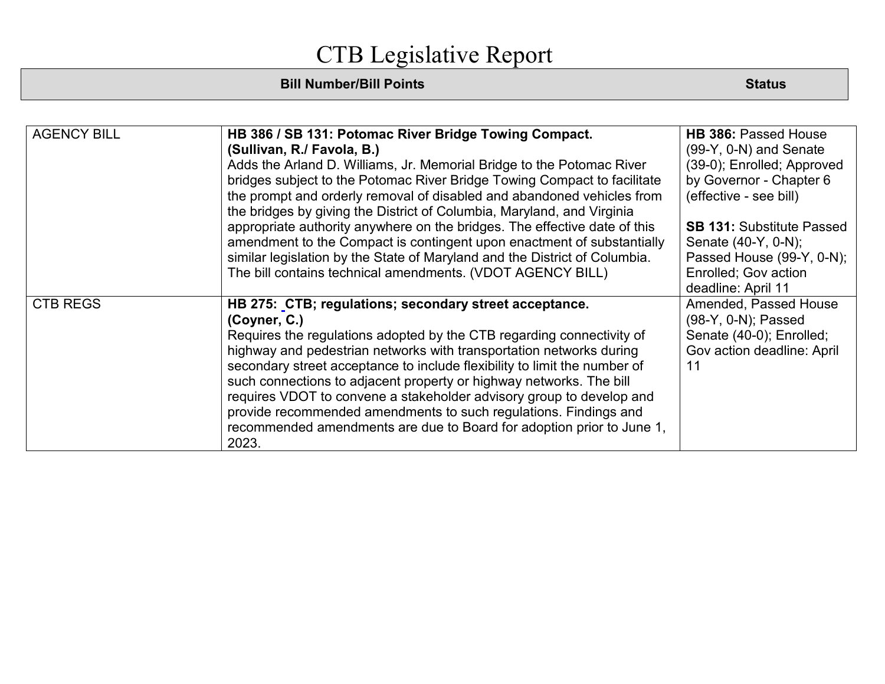| <b>AGENCY BILL</b> | HB 386 / SB 131: Potomac River Bridge Towing Compact.<br>(Sullivan, R./ Favola, B.)<br>Adds the Arland D. Williams, Jr. Memorial Bridge to the Potomac River<br>bridges subject to the Potomac River Bridge Towing Compact to facilitate<br>the prompt and orderly removal of disabled and abandoned vehicles from<br>the bridges by giving the District of Columbia, Maryland, and Virginia<br>appropriate authority anywhere on the bridges. The effective date of this<br>amendment to the Compact is contingent upon enactment of substantially<br>similar legislation by the State of Maryland and the District of Columbia.<br>The bill contains technical amendments. (VDOT AGENCY BILL) | <b>HB 386: Passed House</b><br>$(99-Y, 0-N)$ and Senate<br>(39-0); Enrolled; Approved<br>by Governor - Chapter 6<br>(effective - see bill)<br><b>SB 131: Substitute Passed</b><br>Senate (40-Y, 0-N);<br>Passed House (99-Y, 0-N);<br>Enrolled; Gov action |
|--------------------|-------------------------------------------------------------------------------------------------------------------------------------------------------------------------------------------------------------------------------------------------------------------------------------------------------------------------------------------------------------------------------------------------------------------------------------------------------------------------------------------------------------------------------------------------------------------------------------------------------------------------------------------------------------------------------------------------|------------------------------------------------------------------------------------------------------------------------------------------------------------------------------------------------------------------------------------------------------------|
|                    |                                                                                                                                                                                                                                                                                                                                                                                                                                                                                                                                                                                                                                                                                                 | deadline: April 11                                                                                                                                                                                                                                         |
| <b>CTB REGS</b>    | HB 275: CTB; regulations; secondary street acceptance.<br>(Coyner, C.)<br>Requires the regulations adopted by the CTB regarding connectivity of<br>highway and pedestrian networks with transportation networks during<br>secondary street acceptance to include flexibility to limit the number of<br>such connections to adjacent property or highway networks. The bill<br>requires VDOT to convene a stakeholder advisory group to develop and<br>provide recommended amendments to such regulations. Findings and<br>recommended amendments are due to Board for adoption prior to June 1,<br>2023.                                                                                        | Amended, Passed House<br>(98-Y, 0-N); Passed<br>Senate (40-0); Enrolled;<br>Gov action deadline: April<br>11                                                                                                                                               |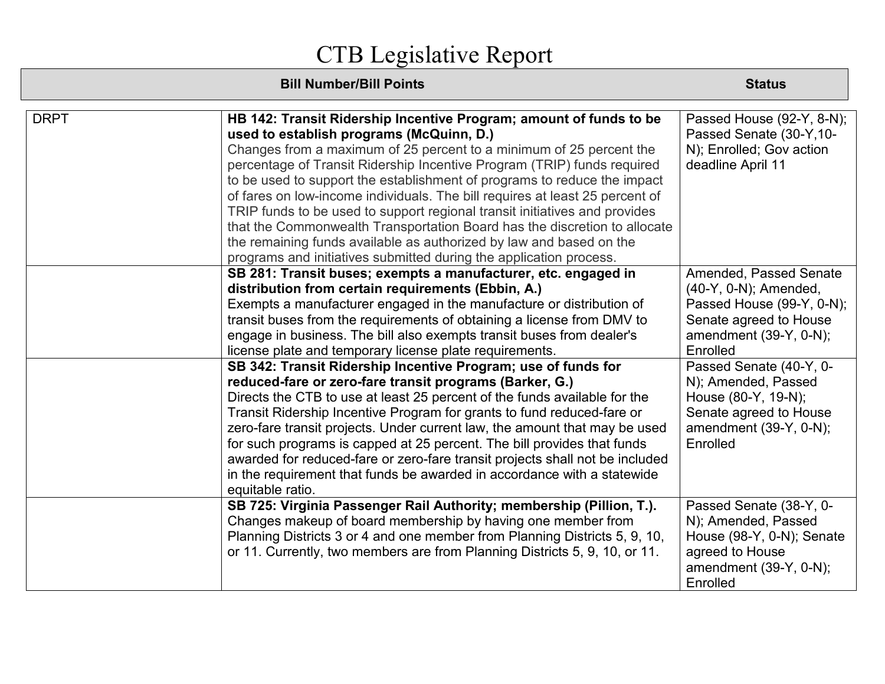| <b>DRPT</b> | HB 142: Transit Ridership Incentive Program; amount of funds to be<br>used to establish programs (McQuinn, D.)<br>Changes from a maximum of 25 percent to a minimum of 25 percent the<br>percentage of Transit Ridership Incentive Program (TRIP) funds required<br>to be used to support the establishment of programs to reduce the impact<br>of fares on low-income individuals. The bill requires at least 25 percent of<br>TRIP funds to be used to support regional transit initiatives and provides<br>that the Commonwealth Transportation Board has the discretion to allocate<br>the remaining funds available as authorized by law and based on the | Passed House (92-Y, 8-N);<br>Passed Senate (30-Y,10-<br>N); Enrolled; Gov action<br>deadline April 11                                              |
|-------------|----------------------------------------------------------------------------------------------------------------------------------------------------------------------------------------------------------------------------------------------------------------------------------------------------------------------------------------------------------------------------------------------------------------------------------------------------------------------------------------------------------------------------------------------------------------------------------------------------------------------------------------------------------------|----------------------------------------------------------------------------------------------------------------------------------------------------|
|             | programs and initiatives submitted during the application process.                                                                                                                                                                                                                                                                                                                                                                                                                                                                                                                                                                                             |                                                                                                                                                    |
|             | SB 281: Transit buses; exempts a manufacturer, etc. engaged in<br>distribution from certain requirements (Ebbin, A.)<br>Exempts a manufacturer engaged in the manufacture or distribution of<br>transit buses from the requirements of obtaining a license from DMV to<br>engage in business. The bill also exempts transit buses from dealer's<br>license plate and temporary license plate requirements.                                                                                                                                                                                                                                                     | Amended, Passed Senate<br>$(40-Y, 0-N)$ ; Amended,<br>Passed House (99-Y, 0-N);<br>Senate agreed to House<br>amendment $(39-Y, 0-N)$ ;<br>Enrolled |
|             | SB 342: Transit Ridership Incentive Program; use of funds for<br>reduced-fare or zero-fare transit programs (Barker, G.)<br>Directs the CTB to use at least 25 percent of the funds available for the<br>Transit Ridership Incentive Program for grants to fund reduced-fare or<br>zero-fare transit projects. Under current law, the amount that may be used<br>for such programs is capped at 25 percent. The bill provides that funds<br>awarded for reduced-fare or zero-fare transit projects shall not be included<br>in the requirement that funds be awarded in accordance with a statewide<br>equitable ratio.                                        | Passed Senate (40-Y, 0-<br>N); Amended, Passed<br>House (80-Y, 19-N);<br>Senate agreed to House<br>amendment (39-Y, 0-N);<br>Enrolled              |
|             | SB 725: Virginia Passenger Rail Authority; membership (Pillion, T.).<br>Changes makeup of board membership by having one member from<br>Planning Districts 3 or 4 and one member from Planning Districts 5, 9, 10,<br>or 11. Currently, two members are from Planning Districts 5, 9, 10, or 11.                                                                                                                                                                                                                                                                                                                                                               | Passed Senate (38-Y, 0-<br>N); Amended, Passed<br>House (98-Y, 0-N); Senate<br>agreed to House<br>amendment (39-Y, 0-N);<br>Enrolled               |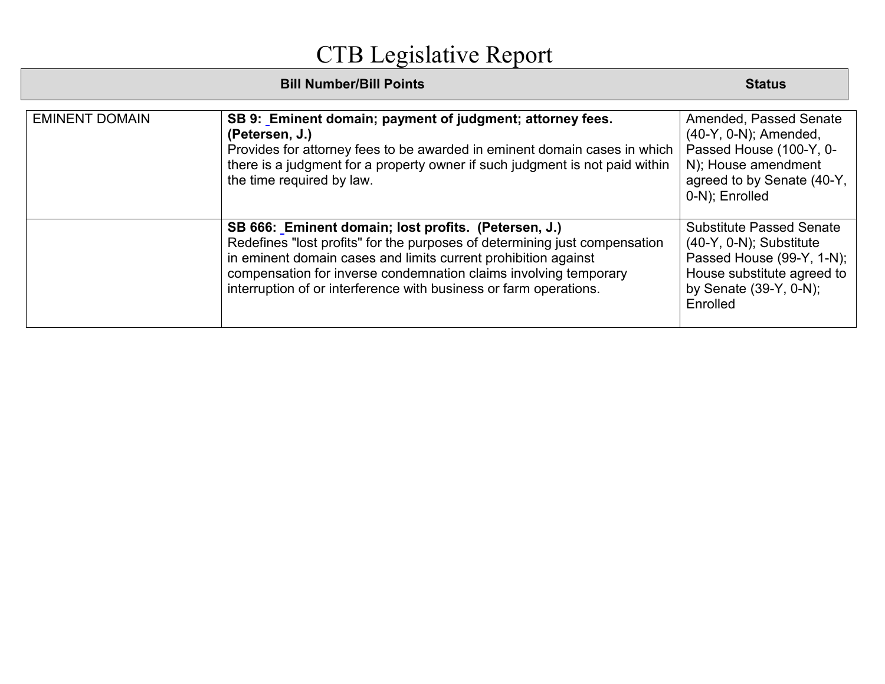|                       | <b>Bill Number/Bill Points</b>                                                                                                                                                                                                                                                                                                                | <b>Status</b>                                                                                                                                                  |
|-----------------------|-----------------------------------------------------------------------------------------------------------------------------------------------------------------------------------------------------------------------------------------------------------------------------------------------------------------------------------------------|----------------------------------------------------------------------------------------------------------------------------------------------------------------|
| <b>EMINENT DOMAIN</b> | SB 9: Eminent domain; payment of judgment; attorney fees.<br>(Petersen, J.)<br>Provides for attorney fees to be awarded in eminent domain cases in which<br>there is a judgment for a property owner if such judgment is not paid within<br>the time required by law.                                                                         | Amended, Passed Senate<br>(40-Y, 0-N); Amended,<br>Passed House (100-Y, 0-<br>N); House amendment<br>agreed to by Senate (40-Y,<br>0-N); Enrolled              |
|                       | SB 666: Eminent domain; lost profits. (Petersen, J.)<br>Redefines "lost profits" for the purposes of determining just compensation<br>in eminent domain cases and limits current prohibition against<br>compensation for inverse condemnation claims involving temporary<br>interruption of or interference with business or farm operations. | <b>Substitute Passed Senate</b><br>$(40-Y, 0-N)$ ; Substitute<br>Passed House (99-Y, 1-N);<br>House substitute agreed to<br>by Senate (39-Y, 0-N);<br>Enrolled |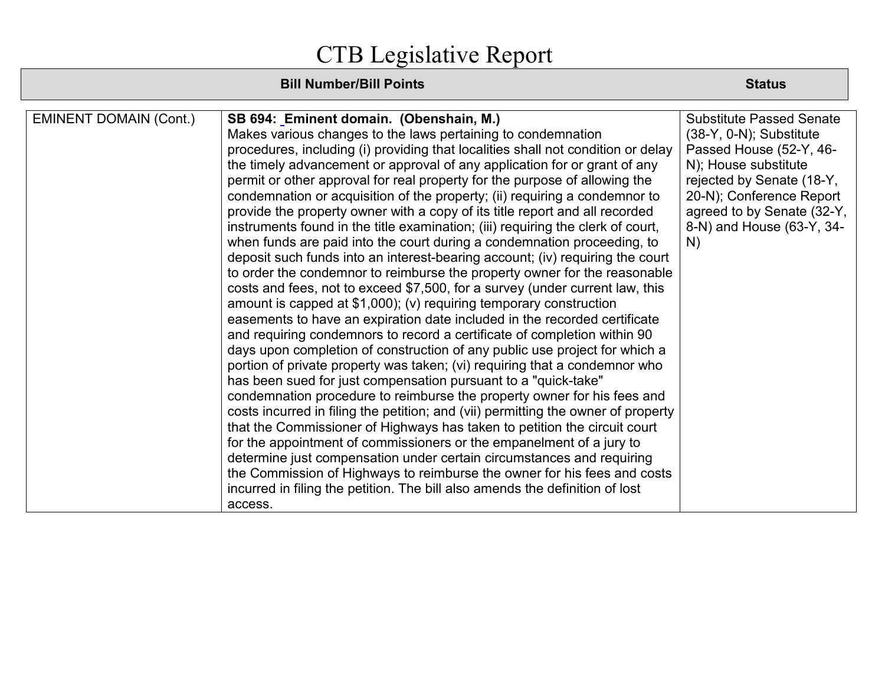| <b>EMINENT DOMAIN (Cont.)</b> | SB 694: Eminent domain. (Obenshain, M.)                                           | <b>Substitute Passed Senate</b> |
|-------------------------------|-----------------------------------------------------------------------------------|---------------------------------|
|                               | Makes various changes to the laws pertaining to condemnation                      | $(38-Y, 0-N)$ ; Substitute      |
|                               | procedures, including (i) providing that localities shall not condition or delay  | Passed House (52-Y, 46-         |
|                               | the timely advancement or approval of any application for or grant of any         | N); House substitute            |
|                               | permit or other approval for real property for the purpose of allowing the        | rejected by Senate (18-Y,       |
|                               | condemnation or acquisition of the property; (ii) requiring a condemnor to        | 20-N); Conference Report        |
|                               | provide the property owner with a copy of its title report and all recorded       | agreed to by Senate (32-Y,      |
|                               | instruments found in the title examination; (iii) requiring the clerk of court,   | 8-N) and House (63-Y, 34-       |
|                               | when funds are paid into the court during a condemnation proceeding, to           | N)                              |
|                               | deposit such funds into an interest-bearing account; (iv) requiring the court     |                                 |
|                               | to order the condemnor to reimburse the property owner for the reasonable         |                                 |
|                               | costs and fees, not to exceed \$7,500, for a survey (under current law, this      |                                 |
|                               | amount is capped at \$1,000); (v) requiring temporary construction                |                                 |
|                               | easements to have an expiration date included in the recorded certificate         |                                 |
|                               | and requiring condemnors to record a certificate of completion within 90          |                                 |
|                               | days upon completion of construction of any public use project for which a        |                                 |
|                               | portion of private property was taken; (vi) requiring that a condemnor who        |                                 |
|                               | has been sued for just compensation pursuant to a "quick-take"                    |                                 |
|                               | condemnation procedure to reimburse the property owner for his fees and           |                                 |
|                               | costs incurred in filing the petition; and (vii) permitting the owner of property |                                 |
|                               | that the Commissioner of Highways has taken to petition the circuit court         |                                 |
|                               | for the appointment of commissioners or the empanelment of a jury to              |                                 |
|                               | determine just compensation under certain circumstances and requiring             |                                 |
|                               | the Commission of Highways to reimburse the owner for his fees and costs          |                                 |
|                               | incurred in filing the petition. The bill also amends the definition of lost      |                                 |
|                               | access.                                                                           |                                 |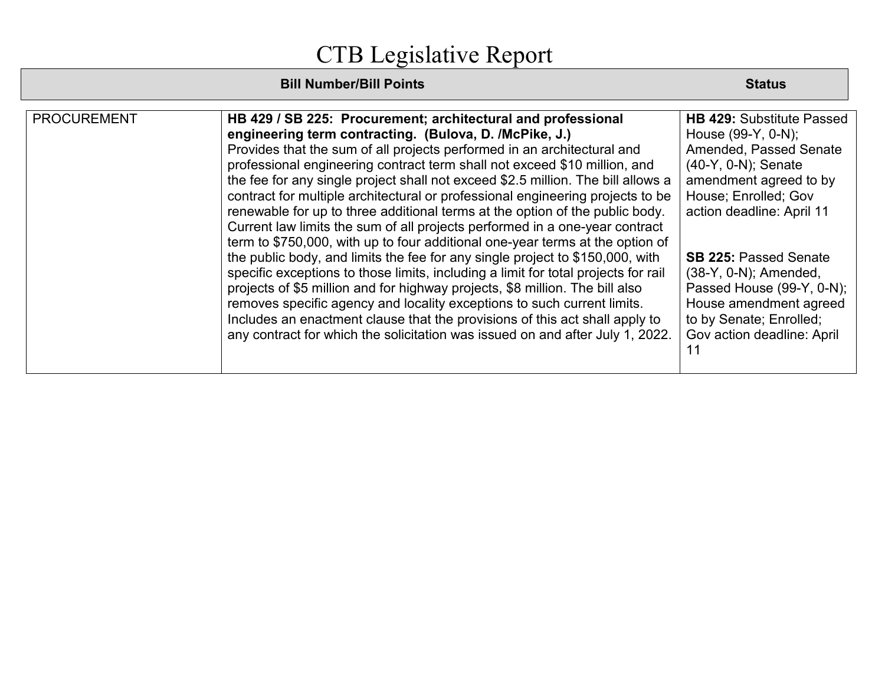| <b>PROCUREMENT</b> | HB 429 / SB 225: Procurement; architectural and professional<br>engineering term contracting. (Bulova, D. /McPike, J.)<br>Provides that the sum of all projects performed in an architectural and<br>professional engineering contract term shall not exceed \$10 million, and<br>the fee for any single project shall not exceed \$2.5 million. The bill allows a<br>contract for multiple architectural or professional engineering projects to be<br>renewable for up to three additional terms at the option of the public body.<br>Current law limits the sum of all projects performed in a one-year contract<br>term to \$750,000, with up to four additional one-year terms at the option of<br>the public body, and limits the fee for any single project to \$150,000, with<br>specific exceptions to those limits, including a limit for total projects for rail<br>projects of \$5 million and for highway projects, \$8 million. The bill also<br>removes specific agency and locality exceptions to such current limits.<br>Includes an enactment clause that the provisions of this act shall apply to<br>any contract for which the solicitation was issued on and after July 1, 2022. | <b>HB 429: Substitute Passed</b><br>House (99-Y, 0-N);<br>Amended, Passed Senate<br>(40-Y, 0-N); Senate<br>amendment agreed to by<br>House; Enrolled; Gov<br>action deadline: April 11<br><b>SB 225: Passed Senate</b><br>(38-Y, 0-N); Amended,<br>Passed House (99-Y, 0-N);<br>House amendment agreed<br>to by Senate; Enrolled;<br>Gov action deadline: April |
|--------------------|--------------------------------------------------------------------------------------------------------------------------------------------------------------------------------------------------------------------------------------------------------------------------------------------------------------------------------------------------------------------------------------------------------------------------------------------------------------------------------------------------------------------------------------------------------------------------------------------------------------------------------------------------------------------------------------------------------------------------------------------------------------------------------------------------------------------------------------------------------------------------------------------------------------------------------------------------------------------------------------------------------------------------------------------------------------------------------------------------------------------------------------------------------------------------------------------------------|-----------------------------------------------------------------------------------------------------------------------------------------------------------------------------------------------------------------------------------------------------------------------------------------------------------------------------------------------------------------|
|--------------------|--------------------------------------------------------------------------------------------------------------------------------------------------------------------------------------------------------------------------------------------------------------------------------------------------------------------------------------------------------------------------------------------------------------------------------------------------------------------------------------------------------------------------------------------------------------------------------------------------------------------------------------------------------------------------------------------------------------------------------------------------------------------------------------------------------------------------------------------------------------------------------------------------------------------------------------------------------------------------------------------------------------------------------------------------------------------------------------------------------------------------------------------------------------------------------------------------------|-----------------------------------------------------------------------------------------------------------------------------------------------------------------------------------------------------------------------------------------------------------------------------------------------------------------------------------------------------------------|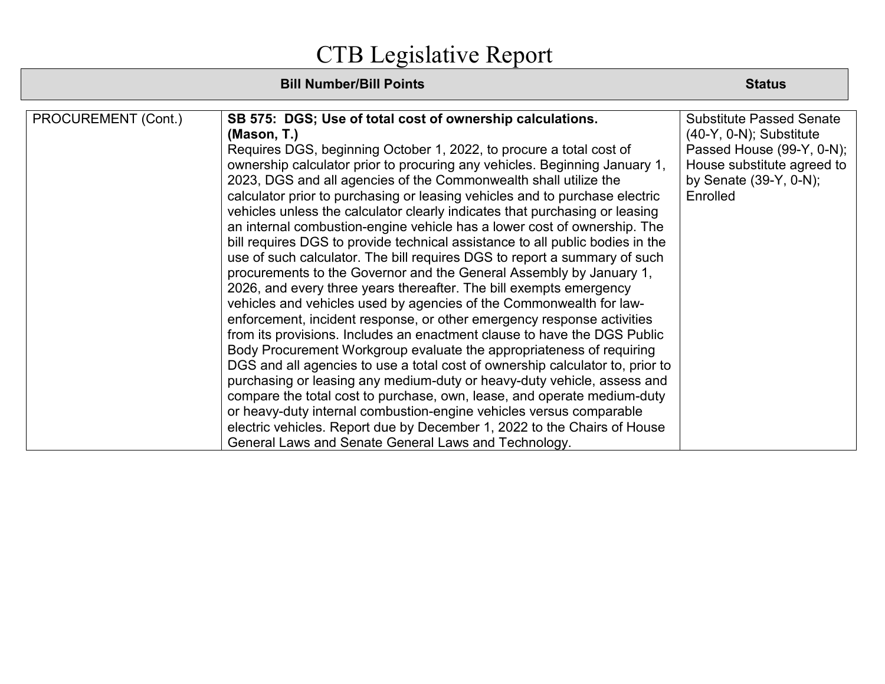| Requires DGS, beginning October 1, 2022, to procure a total cost of                                                                                                                                                                                                                                                                                                                                                                                                                                                                                                                                                                                                                         | Passed House (99-Y, 0-N);                                                                                                  |
|---------------------------------------------------------------------------------------------------------------------------------------------------------------------------------------------------------------------------------------------------------------------------------------------------------------------------------------------------------------------------------------------------------------------------------------------------------------------------------------------------------------------------------------------------------------------------------------------------------------------------------------------------------------------------------------------|----------------------------------------------------------------------------------------------------------------------------|
| ownership calculator prior to procuring any vehicles. Beginning January 1,<br>2023, DGS and all agencies of the Commonwealth shall utilize the<br>calculator prior to purchasing or leasing vehicles and to purchase electric<br>vehicles unless the calculator clearly indicates that purchasing or leasing<br>an internal combustion-engine vehicle has a lower cost of ownership. The<br>bill requires DGS to provide technical assistance to all public bodies in the<br>use of such calculator. The bill requires DGS to report a summary of such<br>procurements to the Governor and the General Assembly by January 1,                                                               | House substitute agreed to<br>by Senate (39-Y, 0-N);<br>Enrolled                                                           |
| vehicles and vehicles used by agencies of the Commonwealth for law-<br>enforcement, incident response, or other emergency response activities<br>from its provisions. Includes an enactment clause to have the DGS Public<br>Body Procurement Workgroup evaluate the appropriateness of requiring<br>DGS and all agencies to use a total cost of ownership calculator to, prior to<br>purchasing or leasing any medium-duty or heavy-duty vehicle, assess and<br>compare the total cost to purchase, own, lease, and operate medium-duty<br>or heavy-duty internal combustion-engine vehicles versus comparable<br>electric vehicles. Report due by December 1, 2022 to the Chairs of House |                                                                                                                            |
|                                                                                                                                                                                                                                                                                                                                                                                                                                                                                                                                                                                                                                                                                             | 2026, and every three years thereafter. The bill exempts emergency<br>General Laws and Senate General Laws and Technology. |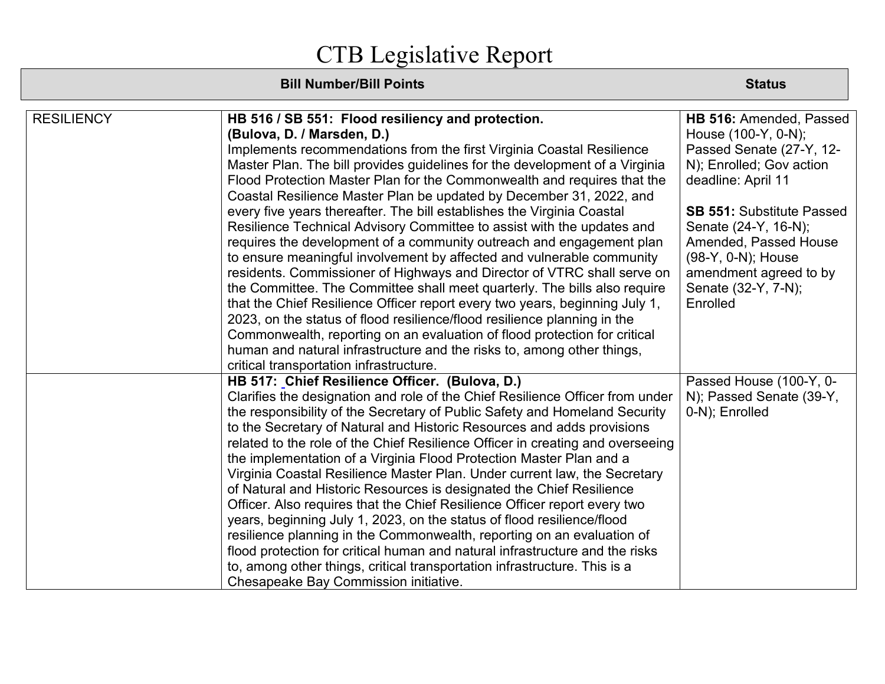| <b>RESILIENCY</b> | HB 516 / SB 551: Flood resiliency and protection.                              | HB 516: Amended, Passed          |
|-------------------|--------------------------------------------------------------------------------|----------------------------------|
|                   | (Bulova, D. / Marsden, D.)                                                     | House (100-Y, 0-N);              |
|                   | Implements recommendations from the first Virginia Coastal Resilience          | Passed Senate (27-Y, 12-         |
|                   | Master Plan. The bill provides guidelines for the development of a Virginia    | N); Enrolled; Gov action         |
|                   | Flood Protection Master Plan for the Commonwealth and requires that the        | deadline: April 11               |
|                   | Coastal Resilience Master Plan be updated by December 31, 2022, and            |                                  |
|                   | every five years thereafter. The bill establishes the Virginia Coastal         | <b>SB 551: Substitute Passed</b> |
|                   | Resilience Technical Advisory Committee to assist with the updates and         | Senate (24-Y, 16-N);             |
|                   | requires the development of a community outreach and engagement plan           | Amended, Passed House            |
|                   | to ensure meaningful involvement by affected and vulnerable community          | (98-Y, 0-N); House               |
|                   | residents. Commissioner of Highways and Director of VTRC shall serve on        | amendment agreed to by           |
|                   | the Committee. The Committee shall meet quarterly. The bills also require      | Senate (32-Y, 7-N);              |
|                   | that the Chief Resilience Officer report every two years, beginning July 1,    | Enrolled                         |
|                   | 2023, on the status of flood resilience/flood resilience planning in the       |                                  |
|                   | Commonwealth, reporting on an evaluation of flood protection for critical      |                                  |
|                   | human and natural infrastructure and the risks to, among other things,         |                                  |
|                   | critical transportation infrastructure.                                        |                                  |
|                   | HB 517: Chief Resilience Officer. (Bulova, D.)                                 | Passed House (100-Y, 0-          |
|                   | Clarifies the designation and role of the Chief Resilience Officer from under  | N); Passed Senate (39-Y,         |
|                   | the responsibility of the Secretary of Public Safety and Homeland Security     | 0-N); Enrolled                   |
|                   | to the Secretary of Natural and Historic Resources and adds provisions         |                                  |
|                   | related to the role of the Chief Resilience Officer in creating and overseeing |                                  |
|                   | the implementation of a Virginia Flood Protection Master Plan and a            |                                  |
|                   | Virginia Coastal Resilience Master Plan. Under current law, the Secretary      |                                  |
|                   | of Natural and Historic Resources is designated the Chief Resilience           |                                  |
|                   | Officer. Also requires that the Chief Resilience Officer report every two      |                                  |
|                   | years, beginning July 1, 2023, on the status of flood resilience/flood         |                                  |
|                   | resilience planning in the Commonwealth, reporting on an evaluation of         |                                  |
|                   | flood protection for critical human and natural infrastructure and the risks   |                                  |
|                   | to, among other things, critical transportation infrastructure. This is a      |                                  |
|                   | Chesapeake Bay Commission initiative.                                          |                                  |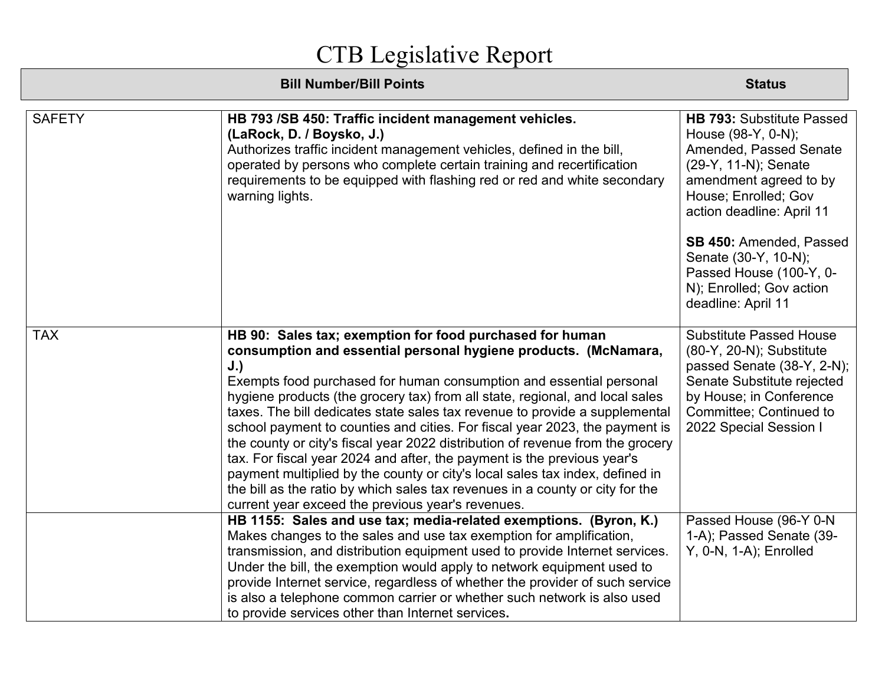| <b>SAFETY</b> | HB 793 /SB 450: Traffic incident management vehicles.<br>(LaRock, D. / Boysko, J.)<br>Authorizes traffic incident management vehicles, defined in the bill,<br>operated by persons who complete certain training and recertification<br>requirements to be equipped with flashing red or red and white secondary<br>warning lights.                                                                                                                                                                                                                                                                                                                                                                                                                                                                                                        | <b>HB 793: Substitute Passed</b><br>House (98-Y, 0-N);<br>Amended, Passed Senate<br>(29-Y, 11-N); Senate<br>amendment agreed to by<br>House; Enrolled; Gov<br>action deadline: April 11<br>SB 450: Amended, Passed<br>Senate (30-Y, 10-N);<br>Passed House (100-Y, 0-<br>N); Enrolled; Gov action<br>deadline: April 11 |
|---------------|--------------------------------------------------------------------------------------------------------------------------------------------------------------------------------------------------------------------------------------------------------------------------------------------------------------------------------------------------------------------------------------------------------------------------------------------------------------------------------------------------------------------------------------------------------------------------------------------------------------------------------------------------------------------------------------------------------------------------------------------------------------------------------------------------------------------------------------------|-------------------------------------------------------------------------------------------------------------------------------------------------------------------------------------------------------------------------------------------------------------------------------------------------------------------------|
| <b>TAX</b>    | HB 90: Sales tax; exemption for food purchased for human<br>consumption and essential personal hygiene products. (McNamara,<br>J.)<br>Exempts food purchased for human consumption and essential personal<br>hygiene products (the grocery tax) from all state, regional, and local sales<br>taxes. The bill dedicates state sales tax revenue to provide a supplemental<br>school payment to counties and cities. For fiscal year 2023, the payment is<br>the county or city's fiscal year 2022 distribution of revenue from the grocery<br>tax. For fiscal year 2024 and after, the payment is the previous year's<br>payment multiplied by the county or city's local sales tax index, defined in<br>the bill as the ratio by which sales tax revenues in a county or city for the<br>current year exceed the previous year's revenues. | <b>Substitute Passed House</b><br>(80-Y, 20-N); Substitute<br>passed Senate (38-Y, 2-N);<br>Senate Substitute rejected<br>by House; in Conference<br>Committee; Continued to<br>2022 Special Session I                                                                                                                  |
|               | HB 1155: Sales and use tax; media-related exemptions. (Byron, K.)<br>Makes changes to the sales and use tax exemption for amplification,<br>transmission, and distribution equipment used to provide Internet services.<br>Under the bill, the exemption would apply to network equipment used to<br>provide Internet service, regardless of whether the provider of such service<br>is also a telephone common carrier or whether such network is also used<br>to provide services other than Internet services.                                                                                                                                                                                                                                                                                                                          | Passed House (96-Y 0-N<br>1-A); Passed Senate (39-<br>$Y$ , 0-N, 1-A); Enrolled                                                                                                                                                                                                                                         |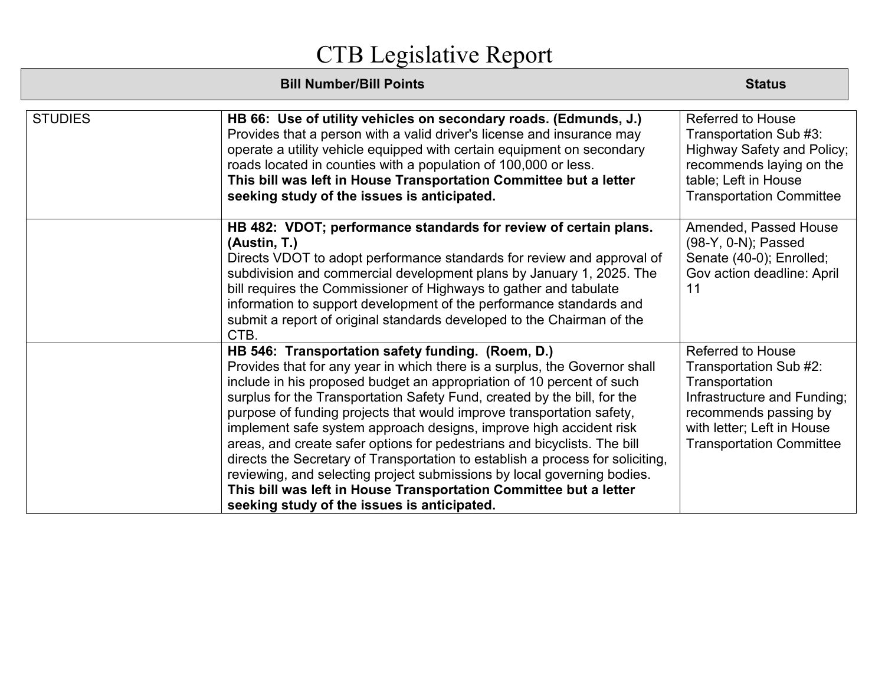| <b>STUDIES</b> | HB 66: Use of utility vehicles on secondary roads. (Edmunds, J.)<br>Provides that a person with a valid driver's license and insurance may<br>operate a utility vehicle equipped with certain equipment on secondary<br>roads located in counties with a population of 100,000 or less.<br>This bill was left in House Transportation Committee but a letter<br>seeking study of the issues is anticipated.                                                                                                                                                                                                                                                                                                                                                                                      | <b>Referred to House</b><br>Transportation Sub #3:<br><b>Highway Safety and Policy;</b><br>recommends laying on the<br>table; Left in House<br><b>Transportation Committee</b>                |
|----------------|--------------------------------------------------------------------------------------------------------------------------------------------------------------------------------------------------------------------------------------------------------------------------------------------------------------------------------------------------------------------------------------------------------------------------------------------------------------------------------------------------------------------------------------------------------------------------------------------------------------------------------------------------------------------------------------------------------------------------------------------------------------------------------------------------|-----------------------------------------------------------------------------------------------------------------------------------------------------------------------------------------------|
|                | HB 482: VDOT; performance standards for review of certain plans.<br>(Austin, T.)<br>Directs VDOT to adopt performance standards for review and approval of<br>subdivision and commercial development plans by January 1, 2025. The<br>bill requires the Commissioner of Highways to gather and tabulate<br>information to support development of the performance standards and<br>submit a report of original standards developed to the Chairman of the<br>CTB.                                                                                                                                                                                                                                                                                                                                 | Amended, Passed House<br>(98-Y, 0-N); Passed<br>Senate (40-0); Enrolled;<br>Gov action deadline: April<br>11                                                                                  |
|                | HB 546: Transportation safety funding. (Roem, D.)<br>Provides that for any year in which there is a surplus, the Governor shall<br>include in his proposed budget an appropriation of 10 percent of such<br>surplus for the Transportation Safety Fund, created by the bill, for the<br>purpose of funding projects that would improve transportation safety,<br>implement safe system approach designs, improve high accident risk<br>areas, and create safer options for pedestrians and bicyclists. The bill<br>directs the Secretary of Transportation to establish a process for soliciting,<br>reviewing, and selecting project submissions by local governing bodies.<br>This bill was left in House Transportation Committee but a letter<br>seeking study of the issues is anticipated. | <b>Referred to House</b><br>Transportation Sub #2:<br>Transportation<br>Infrastructure and Funding;<br>recommends passing by<br>with letter; Left in House<br><b>Transportation Committee</b> |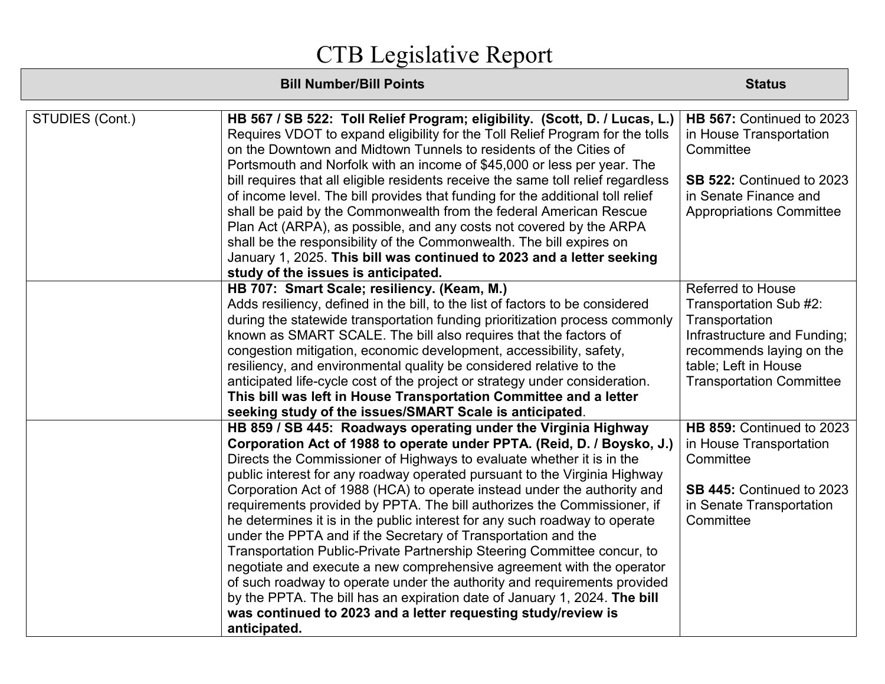| STUDIES (Cont.) | HB 567 / SB 522: Toll Relief Program; eligibility. (Scott, D. / Lucas, L.)        | HB 567: Continued to 2023       |
|-----------------|-----------------------------------------------------------------------------------|---------------------------------|
|                 | Requires VDOT to expand eligibility for the Toll Relief Program for the tolls     | in House Transportation         |
|                 | on the Downtown and Midtown Tunnels to residents of the Cities of                 | Committee                       |
|                 | Portsmouth and Norfolk with an income of \$45,000 or less per year. The           |                                 |
|                 | bill requires that all eligible residents receive the same toll relief regardless | SB 522: Continued to 2023       |
|                 | of income level. The bill provides that funding for the additional toll relief    | in Senate Finance and           |
|                 | shall be paid by the Commonwealth from the federal American Rescue                | <b>Appropriations Committee</b> |
|                 | Plan Act (ARPA), as possible, and any costs not covered by the ARPA               |                                 |
|                 | shall be the responsibility of the Commonwealth. The bill expires on              |                                 |
|                 | January 1, 2025. This bill was continued to 2023 and a letter seeking             |                                 |
|                 | study of the issues is anticipated.                                               |                                 |
|                 | HB 707: Smart Scale; resiliency. (Keam, M.)                                       | <b>Referred to House</b>        |
|                 | Adds resiliency, defined in the bill, to the list of factors to be considered     | Transportation Sub #2:          |
|                 | during the statewide transportation funding prioritization process commonly       | Transportation                  |
|                 | known as SMART SCALE. The bill also requires that the factors of                  | Infrastructure and Funding;     |
|                 | congestion mitigation, economic development, accessibility, safety,               | recommends laying on the        |
|                 | resiliency, and environmental quality be considered relative to the               | table; Left in House            |
|                 | anticipated life-cycle cost of the project or strategy under consideration.       | <b>Transportation Committee</b> |
|                 | This bill was left in House Transportation Committee and a letter                 |                                 |
|                 | seeking study of the issues/SMART Scale is anticipated.                           |                                 |
|                 | HB 859 / SB 445: Roadways operating under the Virginia Highway                    | HB 859: Continued to 2023       |
|                 | Corporation Act of 1988 to operate under PPTA. (Reid, D. / Boysko, J.)            | in House Transportation         |
|                 | Directs the Commissioner of Highways to evaluate whether it is in the             | Committee                       |
|                 | public interest for any roadway operated pursuant to the Virginia Highway         |                                 |
|                 | Corporation Act of 1988 (HCA) to operate instead under the authority and          | SB 445: Continued to 2023       |
|                 | requirements provided by PPTA. The bill authorizes the Commissioner, if           | in Senate Transportation        |
|                 | he determines it is in the public interest for any such roadway to operate        | Committee                       |
|                 | under the PPTA and if the Secretary of Transportation and the                     |                                 |
|                 | Transportation Public-Private Partnership Steering Committee concur, to           |                                 |
|                 | negotiate and execute a new comprehensive agreement with the operator             |                                 |
|                 | of such roadway to operate under the authority and requirements provided          |                                 |
|                 | by the PPTA. The bill has an expiration date of January 1, 2024. The bill         |                                 |
|                 | was continued to 2023 and a letter requesting study/review is                     |                                 |
|                 | anticipated.                                                                      |                                 |
|                 |                                                                                   |                                 |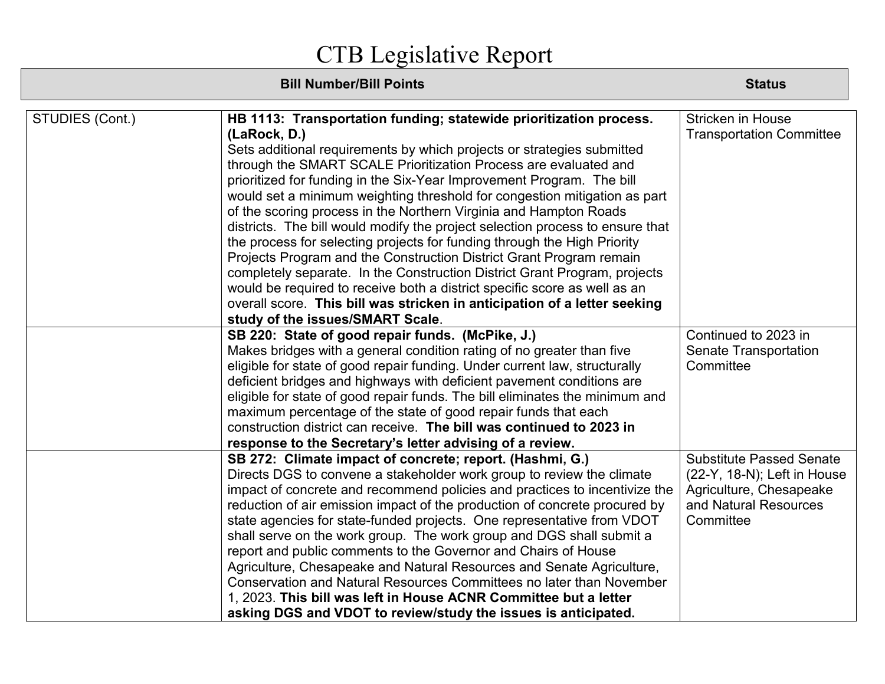| STUDIES (Cont.) | HB 1113: Transportation funding; statewide prioritization process.            | <b>Stricken in House</b>        |
|-----------------|-------------------------------------------------------------------------------|---------------------------------|
|                 | (LaRock, D.)                                                                  | <b>Transportation Committee</b> |
|                 | Sets additional requirements by which projects or strategies submitted        |                                 |
|                 | through the SMART SCALE Prioritization Process are evaluated and              |                                 |
|                 | prioritized for funding in the Six-Year Improvement Program. The bill         |                                 |
|                 | would set a minimum weighting threshold for congestion mitigation as part     |                                 |
|                 | of the scoring process in the Northern Virginia and Hampton Roads             |                                 |
|                 | districts. The bill would modify the project selection process to ensure that |                                 |
|                 | the process for selecting projects for funding through the High Priority      |                                 |
|                 | Projects Program and the Construction District Grant Program remain           |                                 |
|                 | completely separate. In the Construction District Grant Program, projects     |                                 |
|                 | would be required to receive both a district specific score as well as an     |                                 |
|                 | overall score. This bill was stricken in anticipation of a letter seeking     |                                 |
|                 | study of the issues/SMART Scale.                                              |                                 |
|                 | SB 220: State of good repair funds. (McPike, J.)                              | Continued to 2023 in            |
|                 | Makes bridges with a general condition rating of no greater than five         | <b>Senate Transportation</b>    |
|                 | eligible for state of good repair funding. Under current law, structurally    | Committee                       |
|                 | deficient bridges and highways with deficient pavement conditions are         |                                 |
|                 | eligible for state of good repair funds. The bill eliminates the minimum and  |                                 |
|                 | maximum percentage of the state of good repair funds that each                |                                 |
|                 | construction district can receive. The bill was continued to 2023 in          |                                 |
|                 | response to the Secretary's letter advising of a review.                      |                                 |
|                 | SB 272: Climate impact of concrete; report. (Hashmi, G.)                      | <b>Substitute Passed Senate</b> |
|                 | Directs DGS to convene a stakeholder work group to review the climate         | (22-Y, 18-N); Left in House     |
|                 | impact of concrete and recommend policies and practices to incentivize the    | Agriculture, Chesapeake         |
|                 | reduction of air emission impact of the production of concrete procured by    | and Natural Resources           |
|                 | state agencies for state-funded projects. One representative from VDOT        | Committee                       |
|                 | shall serve on the work group. The work group and DGS shall submit a          |                                 |
|                 | report and public comments to the Governor and Chairs of House                |                                 |
|                 | Agriculture, Chesapeake and Natural Resources and Senate Agriculture,         |                                 |
|                 | Conservation and Natural Resources Committees no later than November          |                                 |
|                 | 1, 2023. This bill was left in House ACNR Committee but a letter              |                                 |
|                 | asking DGS and VDOT to review/study the issues is anticipated.                |                                 |